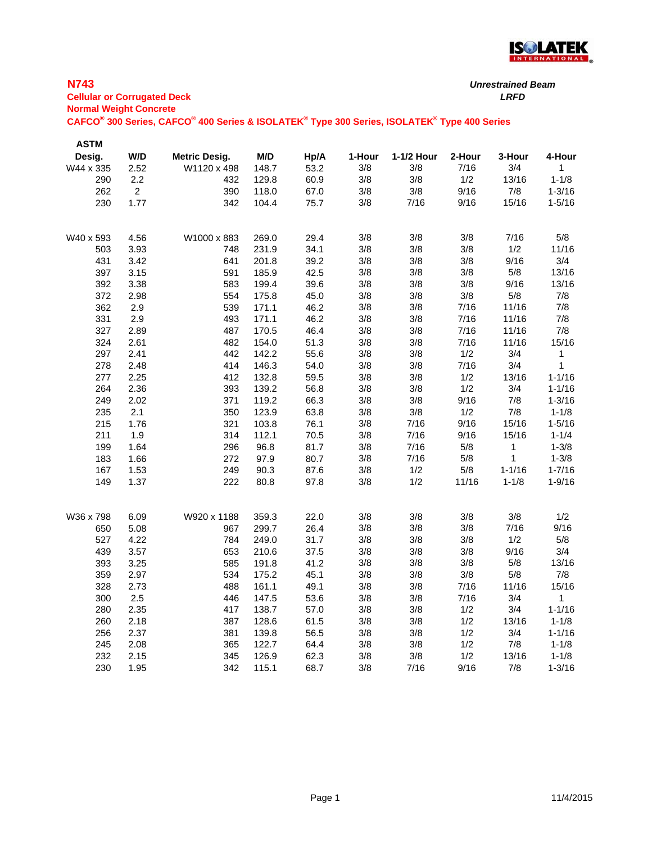

# **N743**

| .                                  | .    |
|------------------------------------|------|
| <b>Cellular or Corrugated Deck</b> | LRFD |
| <b>Normal Weight Concrete</b>      |      |

| <b>ASTM</b> |                |                      |       |              |            |            |        |              |              |
|-------------|----------------|----------------------|-------|--------------|------------|------------|--------|--------------|--------------|
| Desig.      | W/D            | <b>Metric Desig.</b> | M/D   | Hp/A         | 1-Hour     | 1-1/2 Hour | 2-Hour | 3-Hour       | 4-Hour       |
| W44 x 335   | 2.52           | W1120 x 498          | 148.7 | 53.2         | 3/8        | 3/8        | 7/16   | 3/4          | $\mathbf{1}$ |
| 290         | 2.2            | 432                  | 129.8 | 60.9         | 3/8        | 3/8        | 1/2    | 13/16        | $1 - 1/8$    |
| 262         | $\overline{a}$ | 390                  | 118.0 | 67.0         | 3/8        | 3/8        | 9/16   | $7/8$        | $1 - 3/16$   |
| 230         | 1.77           | 342                  | 104.4 | 75.7         | 3/8        | 7/16       | 9/16   | 15/16        | $1 - 5/16$   |
|             |                |                      |       |              |            |            |        |              |              |
|             |                |                      |       |              |            |            |        |              |              |
| W40 x 593   | 4.56           | W1000 x 883          | 269.0 | 29.4         | 3/8        | 3/8        | 3/8    | 7/16         | 5/8          |
| 503         | 3.93           | 748                  | 231.9 | 34.1<br>39.2 | 3/8<br>3/8 | 3/8<br>3/8 | $3/8$  | 1/2<br>9/16  | 11/16<br>3/4 |
| 431         | 3.42           | 641                  | 201.8 |              |            |            | 3/8    | 5/8          | 13/16        |
| 397         | 3.15           | 591                  | 185.9 | 42.5         | 3/8        | 3/8        | 3/8    |              |              |
| 392         | 3.38           | 583                  | 199.4 | 39.6         | 3/8        | 3/8        | 3/8    | 9/16         | 13/16        |
| 372         | 2.98           | 554                  | 175.8 | 45.0         | 3/8        | 3/8        | 3/8    | $5/8$        | 7/8          |
| 362         | 2.9            | 539                  | 171.1 | 46.2         | 3/8        | 3/8        | 7/16   | 11/16        | 7/8          |
| 331         | 2.9            | 493                  | 171.1 | 46.2         | 3/8        | 3/8        | 7/16   | 11/16        | 7/8          |
| 327         | 2.89           | 487                  | 170.5 | 46.4         | 3/8        | 3/8        | 7/16   | 11/16        | 7/8          |
| 324         | 2.61           | 482                  | 154.0 | 51.3         | 3/8        | 3/8        | 7/16   | 11/16        | 15/16        |
| 297         | 2.41           | 442                  | 142.2 | 55.6         | 3/8        | 3/8        | 1/2    | 3/4          | 1            |
| 278         | 2.48           | 414                  | 146.3 | 54.0         | 3/8        | 3/8        | 7/16   | 3/4          | 1            |
| 277         | 2.25           | 412                  | 132.8 | 59.5         | 3/8        | 3/8        | 1/2    | 13/16        | $1 - 1/16$   |
| 264         | 2.36           | 393                  | 139.2 | 56.8         | 3/8        | 3/8        | 1/2    | 3/4          | $1 - 1/16$   |
| 249         | 2.02           | 371                  | 119.2 | 66.3         | 3/8        | 3/8        | 9/16   | 7/8          | $1 - 3/16$   |
| 235         | 2.1            | 350                  | 123.9 | 63.8         | 3/8        | 3/8        | 1/2    | 7/8          | $1 - 1/8$    |
| 215         | 1.76           | 321                  | 103.8 | 76.1         | 3/8        | 7/16       | 9/16   | 15/16        | $1 - 5/16$   |
| 211         | 1.9            | 314                  | 112.1 | 70.5         | 3/8        | 7/16       | 9/16   | 15/16        | $1 - 1/4$    |
| 199         | 1.64           | 296                  | 96.8  | 81.7         | 3/8        | 7/16       | $5/8$  | 1            | $1 - 3/8$    |
| 183         | 1.66           | 272                  | 97.9  | 80.7         | 3/8        | 7/16       | $5/8$  | $\mathbf{1}$ | $1 - 3/8$    |
| 167         | 1.53           | 249                  | 90.3  | 87.6         | 3/8        | 1/2        | $5/8$  | $1 - 1/16$   | $1 - 7/16$   |
| 149         | 1.37           | 222                  | 80.8  | 97.8         | 3/8        | 1/2        | 11/16  | $1 - 1/8$    | $1 - 9/16$   |
|             |                |                      |       |              |            |            |        |              |              |
| W36 x 798   | 6.09           | W920 x 1188          | 359.3 | 22.0         | 3/8        | 3/8        | 3/8    | 3/8          | 1/2          |
| 650         | 5.08           | 967                  | 299.7 | 26.4         | 3/8        | 3/8        | 3/8    | 7/16         | 9/16         |
| 527         | 4.22           | 784                  | 249.0 | 31.7         | 3/8        | 3/8        | 3/8    | 1/2          | $5/8$        |
| 439         | 3.57           | 653                  | 210.6 | 37.5         | 3/8        | 3/8        | 3/8    | 9/16         | 3/4          |
| 393         | 3.25           | 585                  | 191.8 | 41.2         | 3/8        | 3/8        | 3/8    | $5/8$        | 13/16        |
| 359         | 2.97           | 534                  | 175.2 | 45.1         | 3/8        | 3/8        | 3/8    | 5/8          | 7/8          |
| 328         | 2.73           | 488                  | 161.1 | 49.1         | 3/8        | 3/8        | 7/16   | 11/16        | 15/16        |
| 300         | 2.5            | 446                  | 147.5 | 53.6         | 3/8        | 3/8        | 7/16   | 3/4          | $\mathbf{1}$ |
| 280         | 2.35           | 417                  | 138.7 | 57.0         | 3/8        | 3/8        | 1/2    | 3/4          | $1 - 1/16$   |
| 260         | 2.18           | 387                  | 128.6 | 61.5         | 3/8        | 3/8        | 1/2    | 13/16        | $1 - 1/8$    |
| 256         | 2.37           | 381                  | 139.8 | 56.5         | 3/8        | 3/8        | 1/2    | 3/4          | $1 - 1/16$   |
| 245         | 2.08           | 365                  | 122.7 | 64.4         | 3/8        | 3/8        | 1/2    | 7/8          | $1 - 1/8$    |
| 232         | 2.15           | 345                  | 126.9 | 62.3         | 3/8        | 3/8        | 1/2    | 13/16        | $1 - 1/8$    |
| 230         | 1.95           | 342                  | 115.1 | 68.7         | 3/8        | 7/16       | 9/16   | 7/8          | $1 - 3/16$   |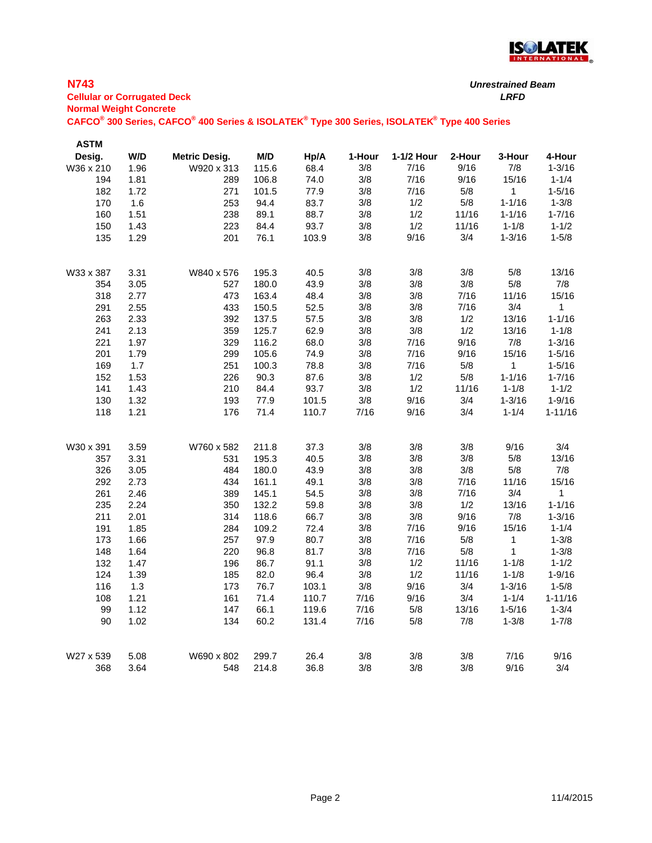

#### **N743**

#### **Cellular or Corrugated Deck** *LRFD* **Normal Weight Concrete**

| <b>ASTM</b> |      |                      |       |       |        |            |        |            |             |
|-------------|------|----------------------|-------|-------|--------|------------|--------|------------|-------------|
| Desig.      | W/D  | <b>Metric Desig.</b> | M/D   | Hp/A  | 1-Hour | 1-1/2 Hour | 2-Hour | 3-Hour     | 4-Hour      |
| W36 x 210   | 1.96 | W920 x 313           | 115.6 | 68.4  | 3/8    | 7/16       | 9/16   | 7/8        | $1 - 3/16$  |
| 194         | 1.81 | 289                  | 106.8 | 74.0  | 3/8    | 7/16       | 9/16   | 15/16      | $1 - 1/4$   |
| 182         | 1.72 | 271                  | 101.5 | 77.9  | 3/8    | 7/16       | $5/8$  | 1          | $1 - 5/16$  |
| 170         | 1.6  | 253                  | 94.4  | 83.7  | 3/8    | 1/2        | 5/8    | $1 - 1/16$ | $1 - 3/8$   |
| 160         | 1.51 | 238                  | 89.1  | 88.7  | 3/8    | 1/2        | 11/16  | $1 - 1/16$ | $1 - 7/16$  |
| 150         | 1.43 | 223                  | 84.4  | 93.7  | 3/8    | 1/2        | 11/16  | $1 - 1/8$  | $1 - 1/2$   |
| 135         | 1.29 | 201                  | 76.1  | 103.9 | 3/8    | 9/16       | 3/4    | $1 - 3/16$ | $1 - 5/8$   |
| W33 x 387   | 3.31 | W840 x 576           | 195.3 | 40.5  | 3/8    | 3/8        | 3/8    | 5/8        | 13/16       |
| 354         | 3.05 | 527                  | 180.0 | 43.9  | 3/8    | 3/8        | $3/8$  | 5/8        | 7/8         |
| 318         | 2.77 | 473                  | 163.4 | 48.4  | 3/8    | 3/8        | 7/16   | 11/16      | 15/16       |
| 291         | 2.55 | 433                  | 150.5 | 52.5  | 3/8    | 3/8        | 7/16   | 3/4        | 1           |
| 263         | 2.33 | 392                  | 137.5 | 57.5  | 3/8    | 3/8        | 1/2    | 13/16      | $1 - 1/16$  |
| 241         | 2.13 | 359                  | 125.7 | 62.9  | 3/8    | 3/8        | 1/2    | 13/16      | $1 - 1/8$   |
| 221         | 1.97 | 329                  | 116.2 | 68.0  | 3/8    | 7/16       | 9/16   | $7/8$      | $1 - 3/16$  |
| 201         | 1.79 | 299                  | 105.6 | 74.9  | 3/8    | 7/16       | 9/16   | 15/16      | $1 - 5/16$  |
| 169         | 1.7  | 251                  | 100.3 | 78.8  | 3/8    | 7/16       | $5/8$  | 1          | $1 - 5/16$  |
| 152         | 1.53 | 226                  | 90.3  | 87.6  | 3/8    | 1/2        | $5/8$  | $1 - 1/16$ | $1 - 7/16$  |
| 141         | 1.43 | 210                  | 84.4  | 93.7  | 3/8    | 1/2        | 11/16  | $1 - 1/8$  | $1 - 1/2$   |
| 130         | 1.32 | 193                  | 77.9  | 101.5 | 3/8    | 9/16       | 3/4    | $1 - 3/16$ | $1 - 9/16$  |
| 118         | 1.21 | 176                  | 71.4  | 110.7 | 7/16   | 9/16       | 3/4    | $1 - 1/4$  | $1 - 11/16$ |
| W30 x 391   | 3.59 | W760 x 582           | 211.8 | 37.3  | 3/8    | 3/8        | 3/8    | 9/16       | 3/4         |
| 357         | 3.31 | 531                  | 195.3 | 40.5  | 3/8    | 3/8        | 3/8    | $5/8$      | 13/16       |
| 326         | 3.05 | 484                  | 180.0 | 43.9  | 3/8    | 3/8        | $3/8$  | $5/8$      | 7/8         |
| 292         | 2.73 | 434                  | 161.1 | 49.1  | 3/8    | 3/8        | 7/16   | 11/16      | 15/16       |
| 261         | 2.46 | 389                  | 145.1 | 54.5  | 3/8    | 3/8        | 7/16   | 3/4        | 1           |
| 235         | 2.24 | 350                  | 132.2 | 59.8  | 3/8    | 3/8        | 1/2    | 13/16      | $1 - 1/16$  |
| 211         | 2.01 | 314                  | 118.6 | 66.7  | 3/8    | 3/8        | 9/16   | 7/8        | $1 - 3/16$  |
| 191         | 1.85 | 284                  | 109.2 | 72.4  | 3/8    | 7/16       | 9/16   | 15/16      | $1 - 1/4$   |
| 173         | 1.66 | 257                  | 97.9  | 80.7  | 3/8    | 7/16       | $5/8$  | 1          | $1 - 3/8$   |
| 148         | 1.64 | 220                  | 96.8  | 81.7  | 3/8    | 7/16       | $5/8$  | 1          | $1 - 3/8$   |
| 132         | 1.47 | 196                  | 86.7  | 91.1  | 3/8    | 1/2        | 11/16  | $1 - 1/8$  | $1 - 1/2$   |
| 124         | 1.39 | 185                  | 82.0  | 96.4  | 3/8    | 1/2        | 11/16  | $1 - 1/8$  | $1 - 9/16$  |
| 116         | 1.3  | 173                  | 76.7  | 103.1 | 3/8    | 9/16       | 3/4    | $1 - 3/16$ | $1 - 5/8$   |
| 108         | 1.21 | 161                  | 71.4  | 110.7 | 7/16   | 9/16       | 3/4    | $1 - 1/4$  | $1 - 11/16$ |
| 99          | 1.12 | 147                  | 66.1  | 119.6 | 7/16   | $5/8$      | 13/16  | $1 - 5/16$ | $1 - 3/4$   |
| 90          | 1.02 | 134                  | 60.2  | 131.4 | 7/16   | $5/8$      | 7/8    | $1 - 3/8$  | $1 - 7/8$   |
| W27 x 539   | 5.08 | W690 x 802           | 299.7 | 26.4  | 3/8    | 3/8        | 3/8    | 7/16       | 9/16        |
| 368         | 3.64 | 548                  | 214.8 | 36.8  | 3/8    | 3/8        | 3/8    | 9/16       | 3/4         |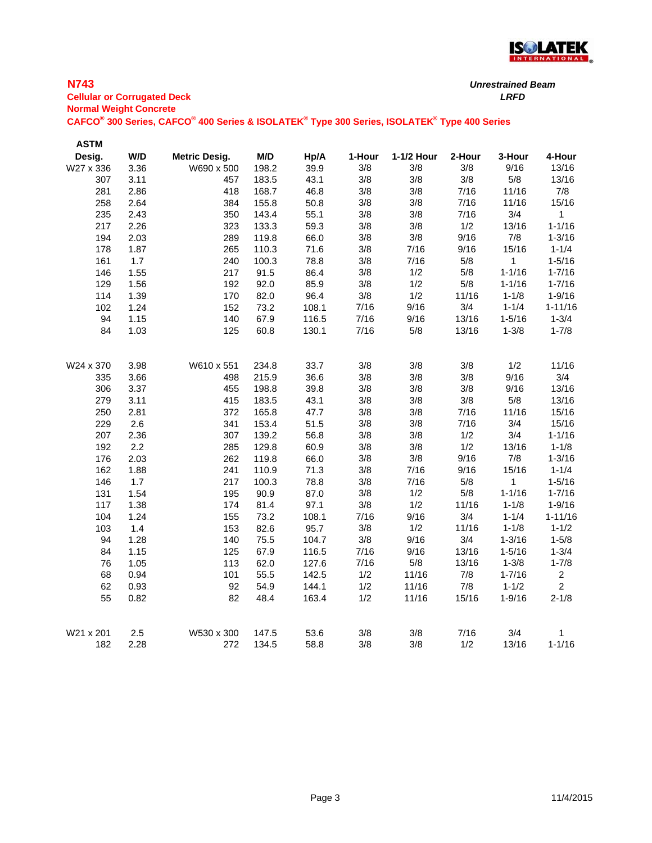

# **N743**

**Cellular or Corrugated Deck** *LRFD* **Normal Weight Concrete**

| <b>ASTM</b> |      |                      |       |       |        |            |        |              |                |
|-------------|------|----------------------|-------|-------|--------|------------|--------|--------------|----------------|
| Desig.      | W/D  | <b>Metric Desig.</b> | M/D   | Hp/A  | 1-Hour | 1-1/2 Hour | 2-Hour | 3-Hour       | 4-Hour         |
| W27 x 336   | 3.36 | W690 x 500           | 198.2 | 39.9  | 3/8    | 3/8        | 3/8    | 9/16         | 13/16          |
| 307         | 3.11 | 457                  | 183.5 | 43.1  | 3/8    | 3/8        | 3/8    | $5/8$        | 13/16          |
| 281         | 2.86 | 418                  | 168.7 | 46.8  | 3/8    | 3/8        | 7/16   | 11/16        | 7/8            |
| 258         | 2.64 | 384                  | 155.8 | 50.8  | 3/8    | 3/8        | 7/16   | 11/16        | 15/16          |
| 235         | 2.43 | 350                  | 143.4 | 55.1  | 3/8    | 3/8        | 7/16   | 3/4          | $\mathbf{1}$   |
| 217         | 2.26 | 323                  | 133.3 | 59.3  | 3/8    | 3/8        | 1/2    | 13/16        | $1 - 1/16$     |
| 194         | 2.03 | 289                  | 119.8 | 66.0  | 3/8    | 3/8        | 9/16   | 7/8          | $1 - 3/16$     |
| 178         | 1.87 | 265                  | 110.3 | 71.6  | 3/8    | 7/16       | 9/16   | 15/16        | $1 - 1/4$      |
| 161         | 1.7  | 240                  | 100.3 | 78.8  | 3/8    | 7/16       | $5/8$  | $\mathbf{1}$ | $1 - 5/16$     |
| 146         | 1.55 | 217                  | 91.5  | 86.4  | 3/8    | 1/2        | 5/8    | $1 - 1/16$   | $1 - 7/16$     |
| 129         | 1.56 | 192                  | 92.0  | 85.9  | 3/8    | 1/2        | $5/8$  | $1 - 1/16$   | $1 - 7/16$     |
| 114         | 1.39 | 170                  | 82.0  | 96.4  | 3/8    | 1/2        | 11/16  | $1 - 1/8$    | $1 - 9/16$     |
| 102         | 1.24 | 152                  | 73.2  | 108.1 | 7/16   | 9/16       | 3/4    | $1 - 1/4$    | $1 - 11/16$    |
| 94          | 1.15 | 140                  | 67.9  | 116.5 | 7/16   | 9/16       | 13/16  | $1 - 5/16$   | $1 - 3/4$      |
| 84          | 1.03 | 125                  | 60.8  | 130.1 | 7/16   | $5/8$      | 13/16  | $1 - 3/8$    | $1 - 7/8$      |
| W24 x 370   | 3.98 | W610 x 551           | 234.8 | 33.7  | 3/8    | 3/8        | 3/8    | 1/2          | 11/16          |
| 335         | 3.66 | 498                  | 215.9 | 36.6  | 3/8    | 3/8        | 3/8    | 9/16         | 3/4            |
| 306         | 3.37 | 455                  | 198.8 | 39.8  | 3/8    | 3/8        | 3/8    | 9/16         | 13/16          |
| 279         | 3.11 | 415                  | 183.5 | 43.1  | 3/8    | 3/8        | 3/8    | 5/8          | 13/16          |
| 250         | 2.81 | 372                  | 165.8 | 47.7  | 3/8    | 3/8        | 7/16   | 11/16        | 15/16          |
| 229         | 2.6  | 341                  | 153.4 | 51.5  | 3/8    | 3/8        | 7/16   | 3/4          | 15/16          |
| 207         | 2.36 | 307                  | 139.2 | 56.8  | 3/8    | 3/8        | 1/2    | 3/4          | $1 - 1/16$     |
| 192         | 2.2  | 285                  | 129.8 | 60.9  | 3/8    | 3/8        | 1/2    | 13/16        | $1 - 1/8$      |
| 176         | 2.03 | 262                  | 119.8 | 66.0  | 3/8    | 3/8        | 9/16   | 7/8          | $1 - 3/16$     |
| 162         | 1.88 | 241                  | 110.9 | 71.3  | 3/8    | 7/16       | 9/16   | 15/16        | $1 - 1/4$      |
| 146         | 1.7  | 217                  | 100.3 | 78.8  | 3/8    | 7/16       | $5/8$  | $\mathbf{1}$ | $1 - 5/16$     |
| 131         | 1.54 | 195                  | 90.9  | 87.0  | 3/8    | 1/2        | $5/8$  | $1 - 1/16$   | $1 - 7/16$     |
| 117         | 1.38 | 174                  | 81.4  | 97.1  | 3/8    | 1/2        | 11/16  | $1 - 1/8$    | $1 - 9/16$     |
| 104         | 1.24 | 155                  | 73.2  | 108.1 | 7/16   | 9/16       | 3/4    | $1 - 1/4$    | $1 - 11/16$    |
| 103         | 1.4  | 153                  | 82.6  | 95.7  | 3/8    | 1/2        | 11/16  | $1 - 1/8$    | $1 - 1/2$      |
| 94          | 1.28 | 140                  | 75.5  | 104.7 | 3/8    | 9/16       | 3/4    | $1 - 3/16$   | $1 - 5/8$      |
| 84          | 1.15 | 125                  | 67.9  | 116.5 | 7/16   | 9/16       | 13/16  | $1 - 5/16$   | $1 - 3/4$      |
| 76          | 1.05 | 113                  | 62.0  | 127.6 | 7/16   | 5/8        | 13/16  | $1 - 3/8$    | $1 - 7/8$      |
| 68          | 0.94 | 101                  | 55.5  | 142.5 | 1/2    | 11/16      | 7/8    | $1 - 7/16$   | $\overline{c}$ |
| 62          | 0.93 | 92                   | 54.9  | 144.1 | 1/2    | 11/16      | 7/8    | $1 - 1/2$    | $\overline{c}$ |
| 55          | 0.82 | 82                   | 48.4  | 163.4 | 1/2    | 11/16      | 15/16  | $1 - 9/16$   | $2 - 1/8$      |
| W21 x 201   | 2.5  | W530 x 300           | 147.5 | 53.6  | 3/8    | 3/8        | 7/16   | 3/4          | 1              |
| 182         | 2.28 | 272                  | 134.5 | 58.8  | 3/8    | 3/8        | 1/2    | 13/16        | $1 - 1/16$     |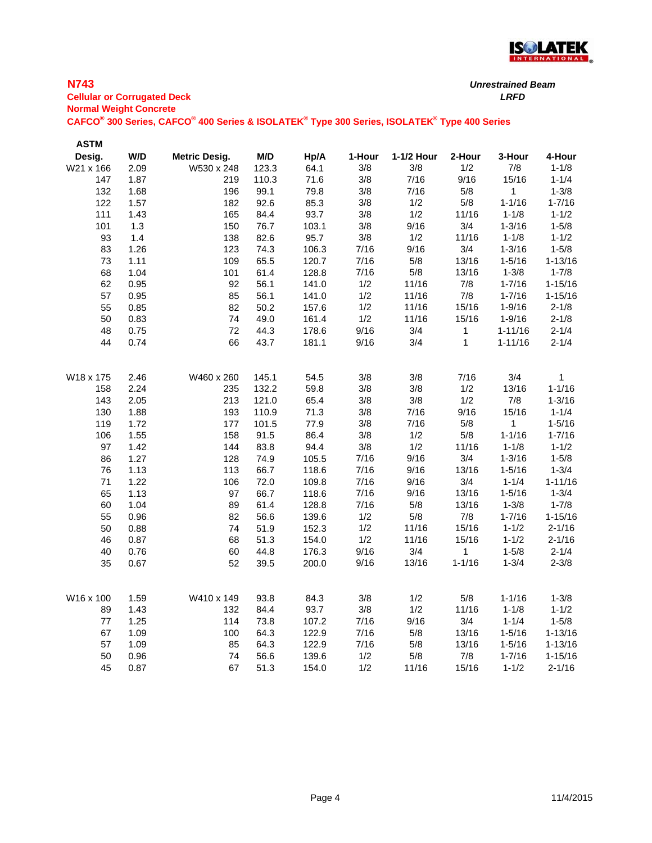

### **N743**

**Cellular or Corrugated Deck** *LRFD* **Normal Weight Concrete**

| <b>ASTM</b>           |              |                      |                |                |            |              |              |                 |                          |
|-----------------------|--------------|----------------------|----------------|----------------|------------|--------------|--------------|-----------------|--------------------------|
| Desig.                | W/D          | <b>Metric Desig.</b> | M/D            | Hp/A           | 1-Hour     | 1-1/2 Hour   | 2-Hour       | 3-Hour          | 4-Hour                   |
| W21 x 166             | 2.09         | W530 x 248           | 123.3          | 64.1           | 3/8        | 3/8          | 1/2          | 7/8             | $1 - 1/8$                |
| 147                   | 1.87         | 219                  | 110.3          | 71.6           | 3/8        | 7/16         | 9/16         | 15/16           | $1 - 1/4$                |
| 132                   | 1.68         | 196                  | 99.1           | 79.8           | 3/8        | 7/16         | $5/8$        | $\mathbf{1}$    | $1 - 3/8$                |
| 122                   | 1.57         | 182                  | 92.6           | 85.3           | 3/8        | 1/2          | $5/8$        | $1 - 1/16$      | $1 - 7/16$               |
| 111                   | 1.43         | 165                  | 84.4           | 93.7           | 3/8        | 1/2          | 11/16        | $1 - 1/8$       | $1 - 1/2$                |
| 101                   | 1.3          | 150                  | 76.7           | 103.1          | 3/8        | 9/16         | 3/4          | $1 - 3/16$      | $1 - 5/8$                |
| 93                    | 1.4          | 138                  | 82.6           | 95.7           | 3/8        | 1/2          | 11/16        | $1 - 1/8$       | $1 - 1/2$                |
| 83                    | 1.26         | 123                  | 74.3           | 106.3          | 7/16       | 9/16         | 3/4          | $1 - 3/16$      | $1 - 5/8$                |
| 73                    | 1.11         | 109                  | 65.5           | 120.7          | 7/16       | 5/8          | 13/16        | $1 - 5/16$      | $1 - 13/16$              |
| 68                    | 1.04         | 101                  | 61.4           | 128.8          | 7/16       | $5/8$        | 13/16        | $1 - 3/8$       | $1 - 7/8$                |
| 62                    | 0.95         | 92                   | 56.1           | 141.0          | 1/2        | 11/16        | $7/8$        | $1 - 7/16$      | $1 - 15/16$              |
| 57                    | 0.95         | 85                   | 56.1           | 141.0          | 1/2        | 11/16        | $7/8$        | $1 - 7/16$      | $1 - 15/16$              |
| 55                    | 0.85         | 82                   | 50.2           | 157.6          | 1/2        | 11/16        | 15/16        | $1 - 9/16$      | $2 - 1/8$                |
| 50                    | 0.83         | 74                   | 49.0           | 161.4          | 1/2        | 11/16        | 15/16        | $1 - 9/16$      | $2 - 1/8$                |
| 48                    | 0.75         | 72                   | 44.3           | 178.6          | 9/16       | 3/4          | 1            | $1 - 11/16$     | $2 - 1/4$                |
| 44                    | 0.74         | 66                   | 43.7           | 181.1          | 9/16       | 3/4          | $\mathbf{1}$ | $1 - 11/16$     | $2 - 1/4$                |
|                       |              |                      |                |                | 3/8        | 3/8          | 7/16         | 3/4             |                          |
| W18 x 175             | 2.46         | W460 x 260           | 145.1          | 54.5           |            |              |              |                 | 1                        |
| 158<br>143            | 2.24         | 235                  | 132.2<br>121.0 | 59.8           | 3/8<br>3/8 | $3/8$<br>3/8 | 1/2<br>1/2   | 13/16<br>7/8    | $1 - 1/16$<br>$1 - 3/16$ |
| 130                   | 2.05<br>1.88 | 213                  | 110.9          | 65.4           |            | 7/16         | 9/16         | 15/16           | $1 - 1/4$                |
| 119                   | 1.72         | 193<br>177           | 101.5          | 71.3<br>77.9   | 3/8<br>3/8 | 7/16         | $5/8$        |                 | $1 - 5/16$               |
| 106                   | 1.55         | 158                  | 91.5           | 86.4           | 3/8        | 1/2          | $5/8$        | 1<br>$1 - 1/16$ | $1 - 7/16$               |
| 97                    | 1.42         | 144                  | 83.8           | 94.4           | $3/8$      | 1/2          | 11/16        | $1 - 1/8$       | $1 - 1/2$                |
| 86                    | 1.27         |                      | 74.9           | 105.5          | 7/16       | 9/16         | 3/4          | $1 - 3/16$      | $1 - 5/8$                |
|                       |              | 128                  | 66.7           |                | 7/16       | 9/16         | 13/16        | $1 - 5/16$      | $1 - 3/4$                |
| 76                    | 1.13<br>1.22 | 113                  | 72.0           | 118.6          | 7/16       | 9/16         | 3/4          | $1 - 1/4$       | $1 - 11/16$              |
| 71                    | 1.13         | 106<br>97            | 66.7           | 109.8<br>118.6 | 7/16       | 9/16         | 13/16        | $1 - 5/16$      | $1 - 3/4$                |
| 65<br>60              | 1.04         | 89                   | 61.4           | 128.8          | 7/16       | 5/8          | 13/16        | $1 - 3/8$       | $1 - 7/8$                |
| 55                    | 0.96         | 82                   | 56.6           | 139.6          | 1/2        | $5/8$        | $7/8$        | $1 - 7/16$      | $1 - 15/16$              |
| 50                    | 0.88         | 74                   | 51.9           | 152.3          | 1/2        | 11/16        | 15/16        | $1 - 1/2$       | $2 - 1/16$               |
| 46                    | 0.87         | 68                   | 51.3           | 154.0          | 1/2        | 11/16        | 15/16        | $1 - 1/2$       | $2 - 1/16$               |
| 40                    | 0.76         | 60                   | 44.8           | 176.3          | 9/16       | 3/4          | 1            | $1 - 5/8$       | $2 - 1/4$                |
|                       |              |                      |                |                |            | 13/16        | $1 - 1/16$   | $1 - 3/4$       | $2 - 3/8$                |
| 35                    | 0.67         | 52                   | 39.5           | 200.0          | 9/16       |              |              |                 |                          |
| W <sub>16</sub> x 100 | 1.59         | W410 x 149           | 93.8           | 84.3           | 3/8        | 1/2          | $5/8$        | $1 - 1/16$      | $1 - 3/8$                |
| 89                    | 1.43         | 132                  | 84.4           | 93.7           | 3/8        | 1/2          | 11/16        | $1 - 1/8$       | $1 - 1/2$                |
| 77                    | 1.25         | 114                  | 73.8           | 107.2          | 7/16       | 9/16         | 3/4          | $1 - 1/4$       | $1 - 5/8$                |
| 67                    | 1.09         | 100                  | 64.3           | 122.9          | 7/16       | $5/8$        | 13/16        | $1 - 5/16$      | $1 - 13/16$              |
| 57                    | 1.09         | 85                   | 64.3           | 122.9          | 7/16       | 5/8          | 13/16        | $1 - 5/16$      | $1 - 13/16$              |
| 50                    | 0.96         | 74                   | 56.6           | 139.6          | 1/2        | 5/8          | 7/8          | $1 - 7/16$      | $1 - 15/16$              |
| 45                    | 0.87         | 67                   | 51.3           | 154.0          | 1/2        | 11/16        | 15/16        | $1 - 1/2$       | $2 - 1/16$               |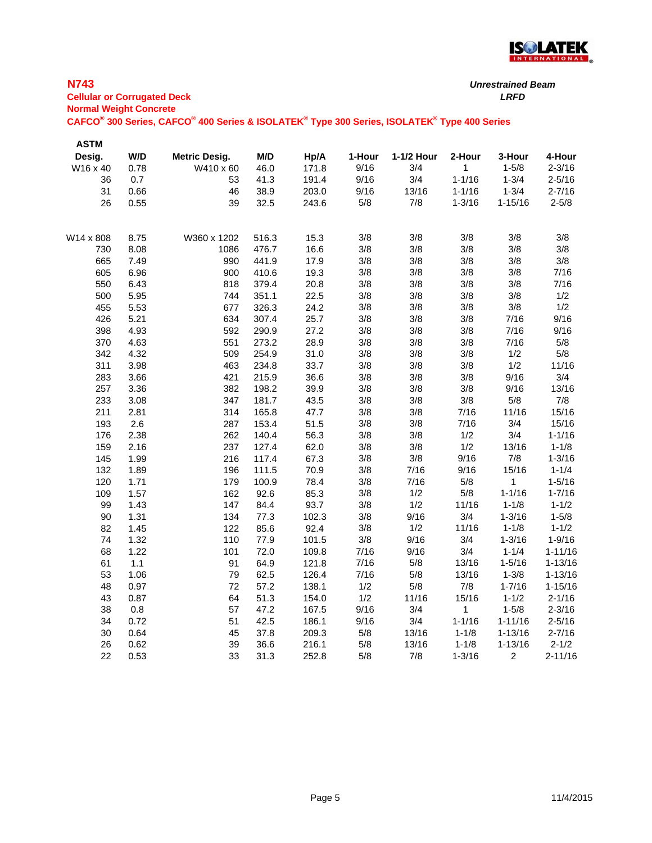

| <b>N743</b><br><b>Cellular or Corrugated Deck</b><br><b>Normal Weight Concrete</b> |      |                                                                                                                                             |       |       |        |            |              | <b>Unrestrained Beam</b><br><b>LRFD</b> |             |
|------------------------------------------------------------------------------------|------|---------------------------------------------------------------------------------------------------------------------------------------------|-------|-------|--------|------------|--------------|-----------------------------------------|-------------|
|                                                                                    |      | CAFCO <sup>®</sup> 300 Series, CAFCO <sup>®</sup> 400 Series & ISOLATEK <sup>®</sup> Type 300 Series, ISOLATEK <sup>®</sup> Type 400 Series |       |       |        |            |              |                                         |             |
| <b>ASTM</b>                                                                        |      |                                                                                                                                             |       |       |        |            |              |                                         |             |
| Desig.                                                                             | W/D  | <b>Metric Desig.</b>                                                                                                                        | M/D   | Hp/A  | 1-Hour | 1-1/2 Hour | 2-Hour       | 3-Hour                                  | 4-Hour      |
| W16 x 40                                                                           | 0.78 | W410 x 60                                                                                                                                   | 46.0  | 171.8 | 9/16   | 3/4        | $\mathbf{1}$ | $1 - 5/8$                               | $2 - 3/16$  |
| 36                                                                                 | 0.7  | 53                                                                                                                                          | 41.3  | 191.4 | 9/16   | 3/4        | $1 - 1/16$   | $1 - 3/4$                               | $2 - 5/16$  |
| 31                                                                                 | 0.66 | 46                                                                                                                                          | 38.9  | 203.0 | 9/16   | 13/16      | $1 - 1/16$   | $1 - 3/4$                               | $2 - 7/16$  |
| 26                                                                                 | 0.55 | 39                                                                                                                                          | 32.5  | 243.6 | $5/8$  | 7/8        | $1 - 3/16$   | $1 - 15/16$                             | $2 - 5/8$   |
| W14 x 808                                                                          | 8.75 | W360 x 1202                                                                                                                                 | 516.3 | 15.3  | 3/8    | 3/8        | 3/8          | 3/8                                     | 3/8         |
| 730                                                                                | 8.08 | 1086                                                                                                                                        | 476.7 | 16.6  | 3/8    | 3/8        | 3/8          | 3/8                                     | 3/8         |
| 665                                                                                | 7.49 | 990                                                                                                                                         | 441.9 | 17.9  | 3/8    | 3/8        | 3/8          | 3/8                                     | 3/8         |
| 605                                                                                | 6.96 | 900                                                                                                                                         | 410.6 | 19.3  | 3/8    | 3/8        | 3/8          | 3/8                                     | 7/16        |
| 550                                                                                | 6.43 | 818                                                                                                                                         | 379.4 | 20.8  | 3/8    | 3/8        | 3/8          | 3/8                                     | 7/16        |
| 500                                                                                | 5.95 | 744                                                                                                                                         | 351.1 | 22.5  | 3/8    | 3/8        | 3/8          | 3/8                                     | 1/2         |
| 455                                                                                | 5.53 | 677                                                                                                                                         | 326.3 | 24.2  | $3/8$  | 3/8        | 3/8          | 3/8                                     | 1/2         |
| 426                                                                                | 5.21 | 634                                                                                                                                         | 307.4 | 25.7  | 3/8    | 3/8        | 3/8          | 7/16                                    | 9/16        |
| 398                                                                                | 4.93 | 592                                                                                                                                         | 290.9 | 27.2  | 3/8    | 3/8        | 3/8          | 7/16                                    | 9/16        |
| 370                                                                                | 4.63 | 551                                                                                                                                         | 273.2 | 28.9  | 3/8    | 3/8        | 3/8          | 7/16                                    | 5/8         |
| 342                                                                                | 4.32 | 509                                                                                                                                         | 254.9 | 31.0  | 3/8    | 3/8        | 3/8          | 1/2                                     | 5/8         |
| 311                                                                                | 3.98 | 463                                                                                                                                         | 234.8 | 33.7  | $3/8$  | 3/8        | 3/8          | 1/2                                     | 11/16       |
| 283                                                                                | 3.66 | 421                                                                                                                                         | 215.9 | 36.6  | 3/8    | 3/8        | 3/8          | 9/16                                    | 3/4         |
| 257                                                                                | 3.36 | 382                                                                                                                                         | 198.2 | 39.9  | 3/8    | 3/8        | 3/8          | 9/16                                    | 13/16       |
| 233                                                                                | 3.08 | 347                                                                                                                                         | 181.7 | 43.5  | 3/8    | 3/8        | 3/8          | 5/8                                     | 7/8         |
| 211                                                                                | 2.81 | 314                                                                                                                                         | 165.8 | 47.7  | 3/8    | 3/8        | 7/16         | 11/16                                   | 15/16       |
| 193                                                                                | 2.6  | 287                                                                                                                                         | 153.4 | 51.5  | 3/8    | 3/8        | 7/16         | 3/4                                     | 15/16       |
| 176                                                                                | 2.38 | 262                                                                                                                                         | 140.4 | 56.3  | 3/8    | 3/8        | 1/2          | 3/4                                     | $1 - 1/16$  |
| 159                                                                                | 2.16 | 237                                                                                                                                         | 127.4 | 62.0  | 3/8    | 3/8        | 1/2          | 13/16                                   | $1 - 1/8$   |
| 145                                                                                | 1.99 | 216                                                                                                                                         | 117.4 | 67.3  | 3/8    | 3/8        | 9/16         | 7/8                                     | $1 - 3/16$  |
| 132                                                                                | 1.89 | 196                                                                                                                                         | 111.5 | 70.9  | 3/8    | 7/16       | 9/16         | 15/16                                   | $1 - 1/4$   |
| 120                                                                                | 1.71 | 179                                                                                                                                         | 100.9 | 78.4  | 3/8    | 7/16       | 5/8          | $\mathbf{1}$                            | $1 - 5/16$  |
| 109                                                                                | 1.57 | 162                                                                                                                                         | 92.6  | 85.3  | $3/8$  | 1/2        | $5/8$        | $1 - 1/16$                              | $1 - 7/16$  |
| 99                                                                                 | 1.43 | 147                                                                                                                                         | 84.4  | 93.7  | 3/8    | 1/2        | 11/16        | $1 - 1/8$                               | $1 - 1/2$   |
| 90                                                                                 | 1.31 | 134                                                                                                                                         | 77.3  | 102.3 | 3/8    | 9/16       | 3/4          | $1 - 3/16$                              | $1 - 5/8$   |
| 82                                                                                 | 1.45 | 122                                                                                                                                         | 85.6  | 92.4  | $3/8$  | 1/2        | 11/16        | $1 - 1/8$                               | $1 - 1/2$   |
| 74                                                                                 | 1.32 | 110                                                                                                                                         | 77.9  | 101.5 | $3/8$  | 9/16       | 3/4          | $1 - 3/16$                              | $1 - 9/16$  |
| 68                                                                                 | 1.22 | 101                                                                                                                                         | 72.0  | 109.8 | 7/16   | 9/16       | 3/4          | $1 - 1/4$                               | $1 - 11/16$ |
| 61                                                                                 | 1.1  | 91                                                                                                                                          | 64.9  | 121.8 | 7/16   | 5/8        | 13/16        | $1 - 5/16$                              | 1-13/16     |
| 53                                                                                 | 1.06 | 79                                                                                                                                          | 62.5  | 126.4 | 7/16   | 5/8        | 13/16        | $1 - 3/8$                               | $1 - 13/16$ |
| 48                                                                                 | 0.97 | 72                                                                                                                                          | 57.2  | 138.1 | 1/2    | 5/8        | 7/8          | $1 - 7/16$                              | $1 - 15/16$ |

43 0.87 64 51.3 154.0 1/2 11/16 15/16 1-1/2 2-1/16 38 0.8 57 47.2 167.5 9/16 3/4 1 1-5/8 2-3/16 34 0.72 51 42.5 186.1 9/16 3/4 1-1/16 1-11/16 2-5/16 30 0.64 45 37.8 209.3 5/8 13/16 1-1/8 1-13/16 2-7/16 26 0.62 39 36.6 216.1 5/8 13/16 1-1/8 1-13/16 2-1/2 22 0.53 33 31.3 252.8 5/8 7/8 1-3/16 2 2-11/16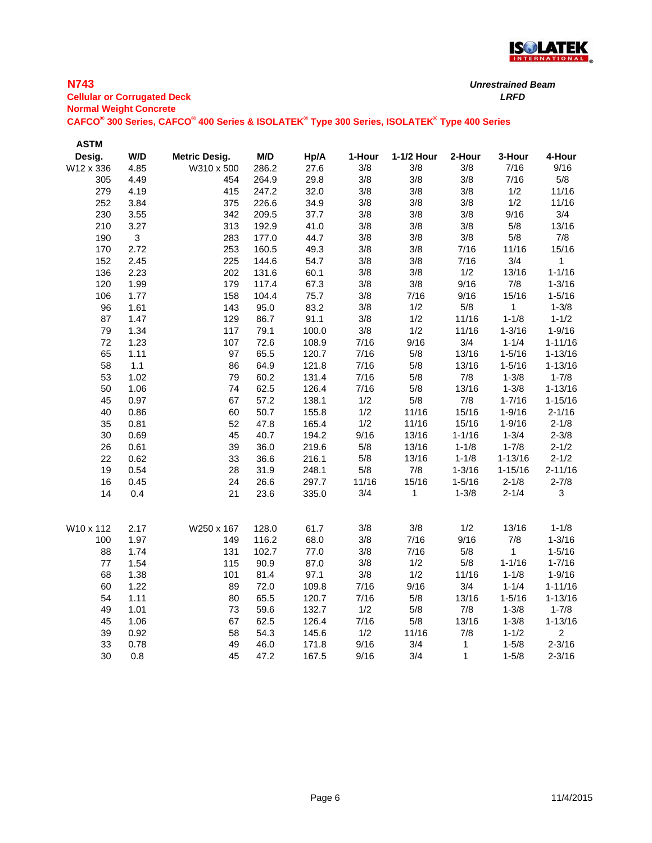

# **N743**

**Cellular or Corrugated Deck** *LRFD* **Normal Weight Concrete**

| <b>ASTM</b> |              |                      |       |       |        |              |              |              |                |
|-------------|--------------|----------------------|-------|-------|--------|--------------|--------------|--------------|----------------|
| Desig.      | W/D          | <b>Metric Desig.</b> | M/D   | Hp/A  | 1-Hour | 1-1/2 Hour   | 2-Hour       | 3-Hour       | 4-Hour         |
| W12 x 336   | 4.85         | W310 x 500           | 286.2 | 27.6  | 3/8    | 3/8          | 3/8          | 7/16         | 9/16           |
| 305         | 4.49         | 454                  | 264.9 | 29.8  | 3/8    | 3/8          | 3/8          | 7/16         | $5/8$          |
| 279         | 4.19         | 415                  | 247.2 | 32.0  | 3/8    | 3/8          | 3/8          | 1/2          | 11/16          |
| 252         | 3.84         | 375                  | 226.6 | 34.9  | 3/8    | 3/8          | 3/8          | 1/2          | 11/16          |
| 230         | 3.55         | 342                  | 209.5 | 37.7  | 3/8    | 3/8          | 3/8          | 9/16         | 3/4            |
| 210         | 3.27         | 313                  | 192.9 | 41.0  | 3/8    | 3/8          | 3/8          | $5/8$        | 13/16          |
| 190         | $\mathbf{3}$ | 283                  | 177.0 | 44.7  | 3/8    | 3/8          | 3/8          | $5/8$        | 7/8            |
| 170         | 2.72         | 253                  | 160.5 | 49.3  | 3/8    | 3/8          | 7/16         | 11/16        | 15/16          |
| 152         | 2.45         | 225                  | 144.6 | 54.7  | 3/8    | 3/8          | 7/16         | 3/4          | $\mathbf{1}$   |
| 136         | 2.23         | 202                  | 131.6 | 60.1  | 3/8    | 3/8          | 1/2          | 13/16        | $1 - 1/16$     |
| 120         | 1.99         | 179                  | 117.4 | 67.3  | 3/8    | 3/8          | 9/16         | 7/8          | $1 - 3/16$     |
| 106         | 1.77         | 158                  | 104.4 | 75.7  | 3/8    | 7/16         | 9/16         | 15/16        | $1 - 5/16$     |
| 96          | 1.61         | 143                  | 95.0  | 83.2  | 3/8    | 1/2          | $5/8$        | 1            | $1 - 3/8$      |
| 87          | 1.47         | 129                  | 86.7  | 91.1  | 3/8    | 1/2          | 11/16        | $1 - 1/8$    | $1 - 1/2$      |
| 79          | 1.34         | 117                  | 79.1  | 100.0 | 3/8    | 1/2          | 11/16        | $1 - 3/16$   | $1 - 9/16$     |
| 72          | 1.23         | 107                  | 72.6  | 108.9 | 7/16   | 9/16         | 3/4          | $1 - 1/4$    | $1 - 11/16$    |
| 65          | 1.11         | 97                   | 65.5  | 120.7 | 7/16   | $5/8$        | 13/16        | $1 - 5/16$   | $1 - 13/16$    |
| 58          | 1.1          | 86                   | 64.9  | 121.8 | 7/16   | $5/8$        | 13/16        | $1 - 5/16$   | $1 - 13/16$    |
| 53          | 1.02         | 79                   | 60.2  | 131.4 | 7/16   | 5/8          | $7/8$        | $1 - 3/8$    | $1 - 7/8$      |
| 50          | 1.06         | 74                   | 62.5  | 126.4 | 7/16   | $5/8$        | 13/16        | $1 - 3/8$    | $1 - 13/16$    |
| 45          | 0.97         | 67                   | 57.2  | 138.1 | 1/2    | $5/8$        | 7/8          | $1 - 7/16$   | $1 - 15/16$    |
| 40          | 0.86         | 60                   | 50.7  | 155.8 | 1/2    | 11/16        | 15/16        | $1 - 9/16$   | $2 - 1/16$     |
| 35          | 0.81         | 52                   | 47.8  | 165.4 | 1/2    | 11/16        | 15/16        | $1 - 9/16$   | $2 - 1/8$      |
| 30          | 0.69         | 45                   | 40.7  | 194.2 | 9/16   | 13/16        | $1 - 1/16$   | $1 - 3/4$    | $2 - 3/8$      |
| 26          | 0.61         | 39                   | 36.0  | 219.6 | 5/8    | 13/16        | $1 - 1/8$    | $1 - 7/8$    | $2 - 1/2$      |
| 22          | 0.62         | 33                   | 36.6  | 216.1 | 5/8    | 13/16        | $1 - 1/8$    | $1 - 13/16$  | $2 - 1/2$      |
| 19          | 0.54         | 28                   | 31.9  | 248.1 | $5/8$  | 7/8          | $1 - 3/16$   | $1 - 15/16$  | $2 - 11/16$    |
| 16          | 0.45         | 24                   | 26.6  | 297.7 | 11/16  | 15/16        | $1 - 5/16$   | $2 - 1/8$    | $2 - 7/8$      |
| 14          | 0.4          | 21                   | 23.6  | 335.0 | 3/4    | $\mathbf{1}$ | $1 - 3/8$    | $2 - 1/4$    | 3              |
| W10 x 112   | 2.17         | W250 x 167           | 128.0 | 61.7  | 3/8    | 3/8          | 1/2          | 13/16        | $1 - 1/8$      |
| 100         | 1.97         | 149                  | 116.2 | 68.0  | 3/8    | 7/16         | 9/16         | 7/8          | $1 - 3/16$     |
| 88          | 1.74         | 131                  | 102.7 | 77.0  | 3/8    | 7/16         | $5/8$        | $\mathbf{1}$ | $1 - 5/16$     |
| 77          | 1.54         | 115                  | 90.9  | 87.0  | 3/8    | 1/2          | 5/8          | $1 - 1/16$   | $1 - 7/16$     |
| 68          | 1.38         | 101                  | 81.4  | 97.1  | 3/8    | 1/2          | 11/16        | $1 - 1/8$    | $1 - 9/16$     |
| 60          | 1.22         | 89                   | 72.0  | 109.8 | 7/16   | 9/16         | 3/4          | $1 - 1/4$    | $1 - 11/16$    |
| 54          | 1.11         | 80                   | 65.5  | 120.7 | 7/16   | 5/8          | 13/16        | $1 - 5/16$   | $1 - 13/16$    |
| 49          | 1.01         | 73                   | 59.6  | 132.7 | 1/2    | $5/8$        | 7/8          | $1 - 3/8$    | $1 - 7/8$      |
| 45          | 1.06         | 67                   | 62.5  | 126.4 | 7/16   | 5/8          | 13/16        | $1 - 3/8$    | $1 - 13/16$    |
| 39          | 0.92         | 58                   | 54.3  | 145.6 | 1/2    | 11/16        | 7/8          | $1 - 1/2$    | $\overline{c}$ |
| 33          | 0.78         | 49                   | 46.0  | 171.8 | 9/16   | 3/4          | $\mathbf{1}$ | $1 - 5/8$    | $2 - 3/16$     |
| 30          | 0.8          | 45                   | 47.2  | 167.5 | 9/16   | 3/4          | $\mathbf{1}$ | $1 - 5/8$    | $2 - 3/16$     |